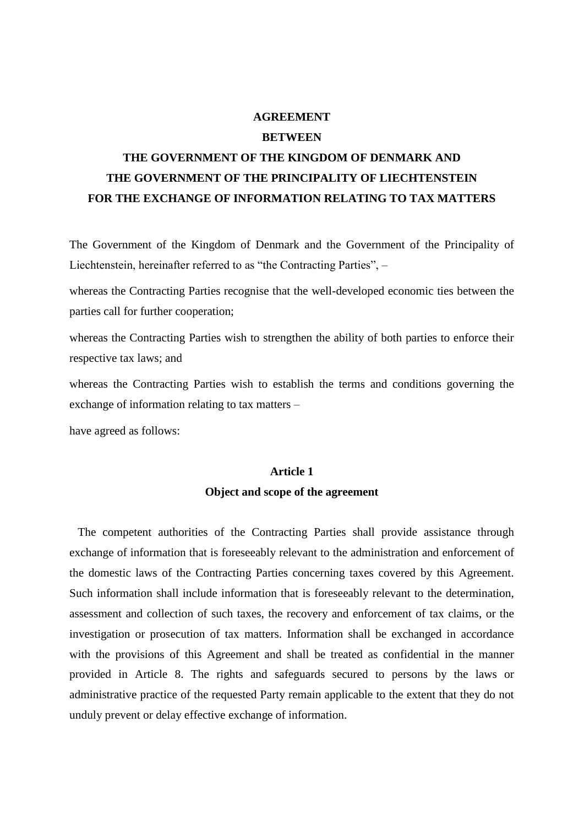### **AGREEMENT**

### **BETWEEN**

# **THE GOVERNMENT OF THE KINGDOM OF DENMARK AND THE GOVERNMENT OF THE PRINCIPALITY OF LIECHTENSTEIN FOR THE EXCHANGE OF INFORMATION RELATING TO TAX MATTERS**

The Government of the Kingdom of Denmark and the Government of the Principality of Liechtenstein, hereinafter referred to as "the Contracting Parties", –

whereas the Contracting Parties recognise that the well-developed economic ties between the parties call for further cooperation;

whereas the Contracting Parties wish to strengthen the ability of both parties to enforce their respective tax laws; and

whereas the Contracting Parties wish to establish the terms and conditions governing the exchange of information relating to tax matters –

have agreed as follows:

# **Article 1 Object and scope of the agreement**

The competent authorities of the Contracting Parties shall provide assistance through exchange of information that is foreseeably relevant to the administration and enforcement of the domestic laws of the Contracting Parties concerning taxes covered by this Agreement. Such information shall include information that is foreseeably relevant to the determination, assessment and collection of such taxes, the recovery and enforcement of tax claims, or the investigation or prosecution of tax matters. Information shall be exchanged in accordance with the provisions of this Agreement and shall be treated as confidential in the manner provided in Article 8. The rights and safeguards secured to persons by the laws or administrative practice of the requested Party remain applicable to the extent that they do not unduly prevent or delay effective exchange of information.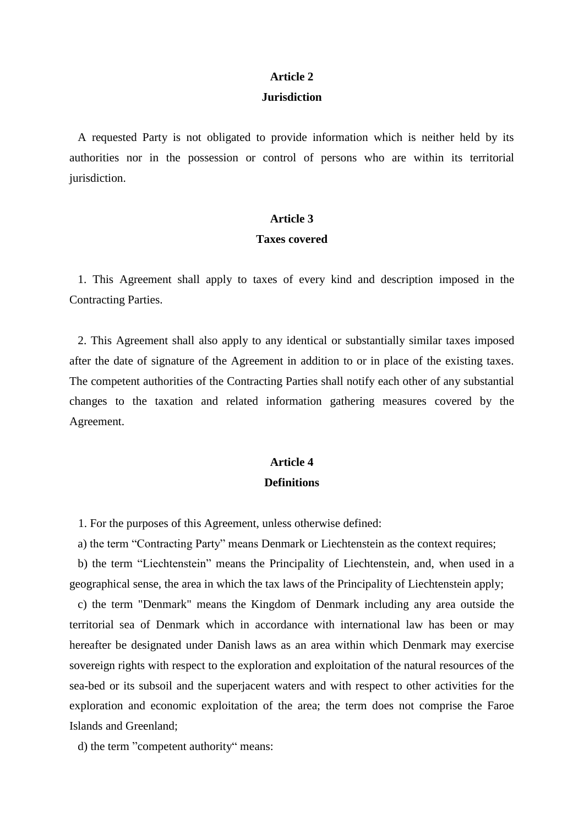# **Article 2**

### **Jurisdiction**

A requested Party is not obligated to provide information which is neither held by its authorities nor in the possession or control of persons who are within its territorial jurisdiction.

#### **Article 3**

### **Taxes covered**

1. This Agreement shall apply to taxes of every kind and description imposed in the Contracting Parties.

2. This Agreement shall also apply to any identical or substantially similar taxes imposed after the date of signature of the Agreement in addition to or in place of the existing taxes. The competent authorities of the Contracting Parties shall notify each other of any substantial changes to the taxation and related information gathering measures covered by the Agreement.

### **Article 4 Definitions**

1. For the purposes of this Agreement, unless otherwise defined:

a) the term "Contracting Party" means Denmark or Liechtenstein as the context requires;

b) the term "Liechtenstein" means the Principality of Liechtenstein, and, when used in a geographical sense, the area in which the tax laws of the Principality of Liechtenstein apply;

c) the term "Denmark" means the Kingdom of Denmark including any area outside the territorial sea of Denmark which in accordance with international law has been or may hereafter be designated under Danish laws as an area within which Denmark may exercise sovereign rights with respect to the exploration and exploitation of the natural resources of the sea-bed or its subsoil and the superjacent waters and with respect to other activities for the exploration and economic exploitation of the area; the term does not comprise the Faroe Islands and Greenland;

d) the term "competent authority" means: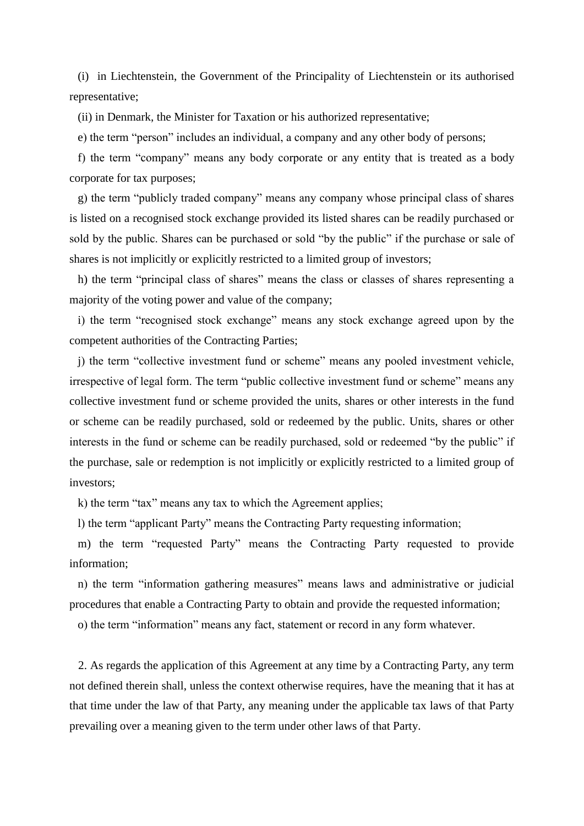(i) in Liechtenstein, the Government of the Principality of Liechtenstein or its authorised representative;

(ii) in Denmark, the Minister for Taxation or his authorized representative;

e) the term "person" includes an individual, a company and any other body of persons;

f) the term "company" means any body corporate or any entity that is treated as a body corporate for tax purposes;

g) the term "publicly traded company" means any company whose principal class of shares is listed on a recognised stock exchange provided its listed shares can be readily purchased or sold by the public. Shares can be purchased or sold "by the public" if the purchase or sale of shares is not implicitly or explicitly restricted to a limited group of investors;

h) the term "principal class of shares" means the class or classes of shares representing a majority of the voting power and value of the company;

i) the term "recognised stock exchange" means any stock exchange agreed upon by the competent authorities of the Contracting Parties;

j) the term "collective investment fund or scheme" means any pooled investment vehicle, irrespective of legal form. The term "public collective investment fund or scheme" means any collective investment fund or scheme provided the units, shares or other interests in the fund or scheme can be readily purchased, sold or redeemed by the public. Units, shares or other interests in the fund or scheme can be readily purchased, sold or redeemed "by the public" if the purchase, sale or redemption is not implicitly or explicitly restricted to a limited group of investors;

k) the term "tax" means any tax to which the Agreement applies;

l) the term "applicant Party" means the Contracting Party requesting information;

m) the term "requested Party" means the Contracting Party requested to provide information;

n) the term "information gathering measures" means laws and administrative or judicial procedures that enable a Contracting Party to obtain and provide the requested information;

o) the term "information" means any fact, statement or record in any form whatever.

2. As regards the application of this Agreement at any time by a Contracting Party, any term not defined therein shall, unless the context otherwise requires, have the meaning that it has at that time under the law of that Party, any meaning under the applicable tax laws of that Party prevailing over a meaning given to the term under other laws of that Party.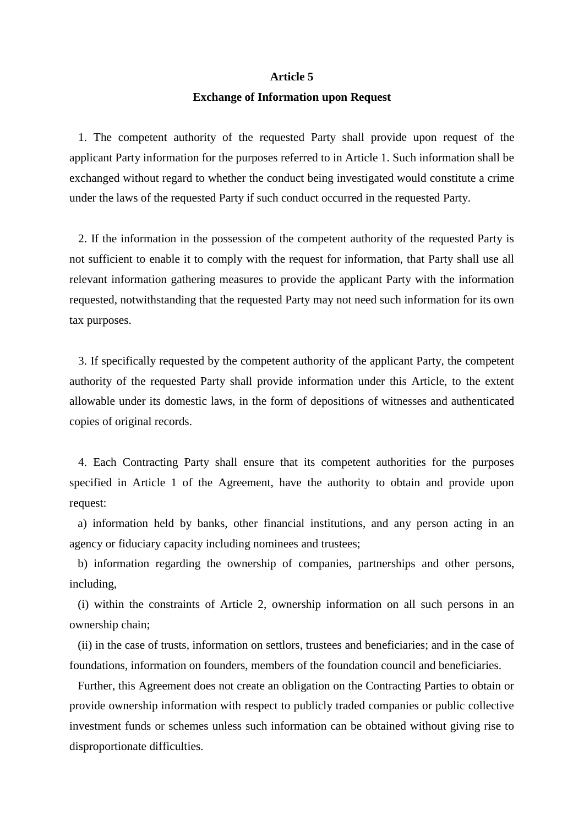#### **Article 5**

#### **Exchange of Information upon Request**

1. The competent authority of the requested Party shall provide upon request of the applicant Party information for the purposes referred to in Article 1. Such information shall be exchanged without regard to whether the conduct being investigated would constitute a crime under the laws of the requested Party if such conduct occurred in the requested Party.

2. If the information in the possession of the competent authority of the requested Party is not sufficient to enable it to comply with the request for information, that Party shall use all relevant information gathering measures to provide the applicant Party with the information requested, notwithstanding that the requested Party may not need such information for its own tax purposes.

3. If specifically requested by the competent authority of the applicant Party, the competent authority of the requested Party shall provide information under this Article, to the extent allowable under its domestic laws, in the form of depositions of witnesses and authenticated copies of original records.

4. Each Contracting Party shall ensure that its competent authorities for the purposes specified in Article 1 of the Agreement, have the authority to obtain and provide upon request:

a) information held by banks, other financial institutions, and any person acting in an agency or fiduciary capacity including nominees and trustees;

b) information regarding the ownership of companies, partnerships and other persons, including,

(i) within the constraints of Article 2, ownership information on all such persons in an ownership chain;

(ii) in the case of trusts, information on settlors, trustees and beneficiaries; and in the case of foundations, information on founders, members of the foundation council and beneficiaries.

Further, this Agreement does not create an obligation on the Contracting Parties to obtain or provide ownership information with respect to publicly traded companies or public collective investment funds or schemes unless such information can be obtained without giving rise to disproportionate difficulties.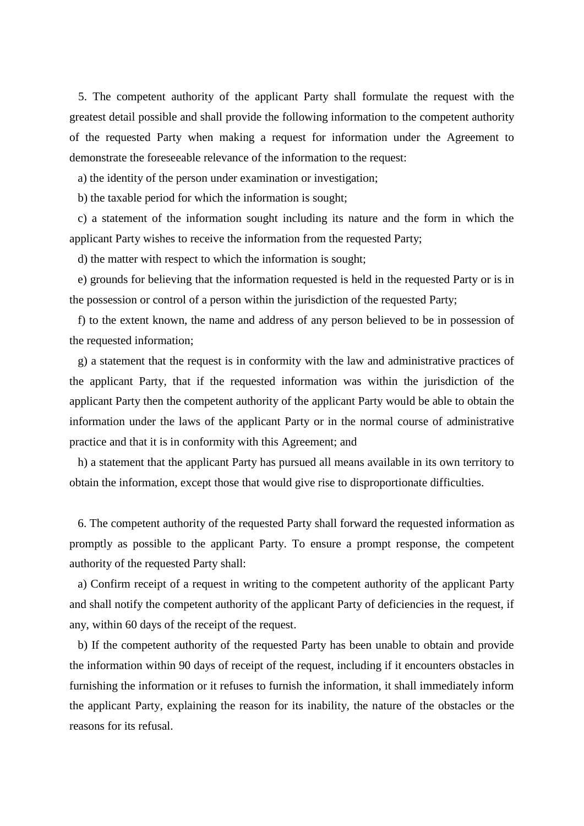5. The competent authority of the applicant Party shall formulate the request with the greatest detail possible and shall provide the following information to the competent authority of the requested Party when making a request for information under the Agreement to demonstrate the foreseeable relevance of the information to the request:

a) the identity of the person under examination or investigation;

b) the taxable period for which the information is sought;

c) a statement of the information sought including its nature and the form in which the applicant Party wishes to receive the information from the requested Party;

d) the matter with respect to which the information is sought;

e) grounds for believing that the information requested is held in the requested Party or is in the possession or control of a person within the jurisdiction of the requested Party;

f) to the extent known, the name and address of any person believed to be in possession of the requested information;

g) a statement that the request is in conformity with the law and administrative practices of the applicant Party, that if the requested information was within the jurisdiction of the applicant Party then the competent authority of the applicant Party would be able to obtain the information under the laws of the applicant Party or in the normal course of administrative practice and that it is in conformity with this Agreement; and

h) a statement that the applicant Party has pursued all means available in its own territory to obtain the information, except those that would give rise to disproportionate difficulties.

6. The competent authority of the requested Party shall forward the requested information as promptly as possible to the applicant Party. To ensure a prompt response, the competent authority of the requested Party shall:

a) Confirm receipt of a request in writing to the competent authority of the applicant Party and shall notify the competent authority of the applicant Party of deficiencies in the request, if any, within 60 days of the receipt of the request.

b) If the competent authority of the requested Party has been unable to obtain and provide the information within 90 days of receipt of the request, including if it encounters obstacles in furnishing the information or it refuses to furnish the information, it shall immediately inform the applicant Party, explaining the reason for its inability, the nature of the obstacles or the reasons for its refusal.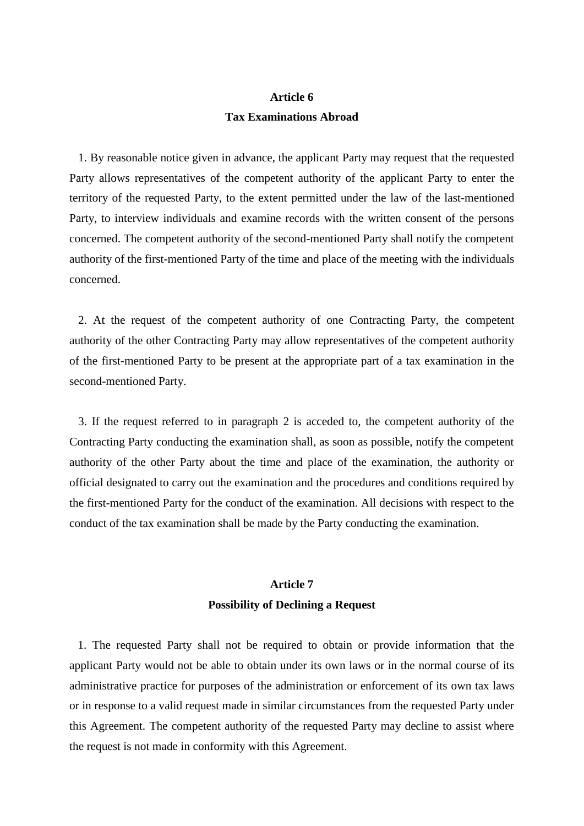### **Article 6 Tax Examinations Abroad**

1. By reasonable notice given in advance, the applicant Party may request that the requested Party allows representatives of the competent authority of the applicant Party to enter the territory of the requested Party, to the extent permitted under the law of the last-mentioned Party, to interview individuals and examine records with the written consent of the persons concerned. The competent authority of the second-mentioned Party shall notify the competent authority of the first-mentioned Party of the time and place of the meeting with the individuals concerned.

2. At the request of the competent authority of one Contracting Party, the competent authority of the other Contracting Party may allow representatives of the competent authority of the first-mentioned Party to be present at the appropriate part of a tax examination in the second-mentioned Party.

3. If the request referred to in paragraph 2 is acceded to, the competent authority of the Contracting Party conducting the examination shall, as soon as possible, notify the competent authority of the other Party about the time and place of the examination, the authority or official designated to carry out the examination and the procedures and conditions required by the first-mentioned Party for the conduct of the examination. All decisions with respect to the conduct of the tax examination shall be made by the Party conducting the examination.

### **Article 7 Possibility of Declining a Request**

1. The requested Party shall not be required to obtain or provide information that the applicant Party would not be able to obtain under its own laws or in the normal course of its administrative practice for purposes of the administration or enforcement of its own tax laws or in response to a valid request made in similar circumstances from the requested Party under this Agreement. The competent authority of the requested Party may decline to assist where the request is not made in conformity with this Agreement.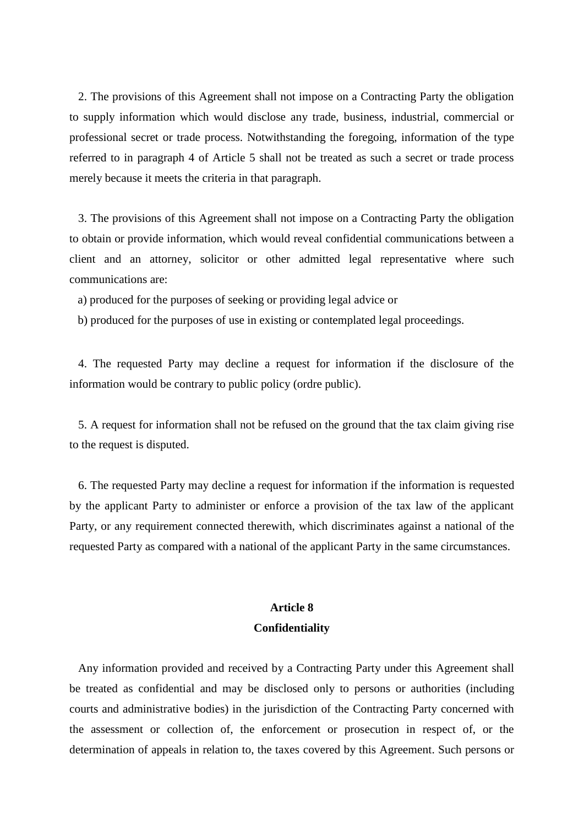2. The provisions of this Agreement shall not impose on a Contracting Party the obligation to supply information which would disclose any trade, business, industrial, commercial or professional secret or trade process. Notwithstanding the foregoing, information of the type referred to in paragraph 4 of Article 5 shall not be treated as such a secret or trade process merely because it meets the criteria in that paragraph.

3. The provisions of this Agreement shall not impose on a Contracting Party the obligation to obtain or provide information, which would reveal confidential communications between a client and an attorney, solicitor or other admitted legal representative where such communications are:

a) produced for the purposes of seeking or providing legal advice or

b) produced for the purposes of use in existing or contemplated legal proceedings.

4. The requested Party may decline a request for information if the disclosure of the information would be contrary to public policy (ordre public).

5. A request for information shall not be refused on the ground that the tax claim giving rise to the request is disputed.

6. The requested Party may decline a request for information if the information is requested by the applicant Party to administer or enforce a provision of the tax law of the applicant Party, or any requirement connected therewith, which discriminates against a national of the requested Party as compared with a national of the applicant Party in the same circumstances.

### **Article 8 Confidentiality**

Any information provided and received by a Contracting Party under this Agreement shall be treated as confidential and may be disclosed only to persons or authorities (including courts and administrative bodies) in the jurisdiction of the Contracting Party concerned with the assessment or collection of, the enforcement or prosecution in respect of, or the determination of appeals in relation to, the taxes covered by this Agreement. Such persons or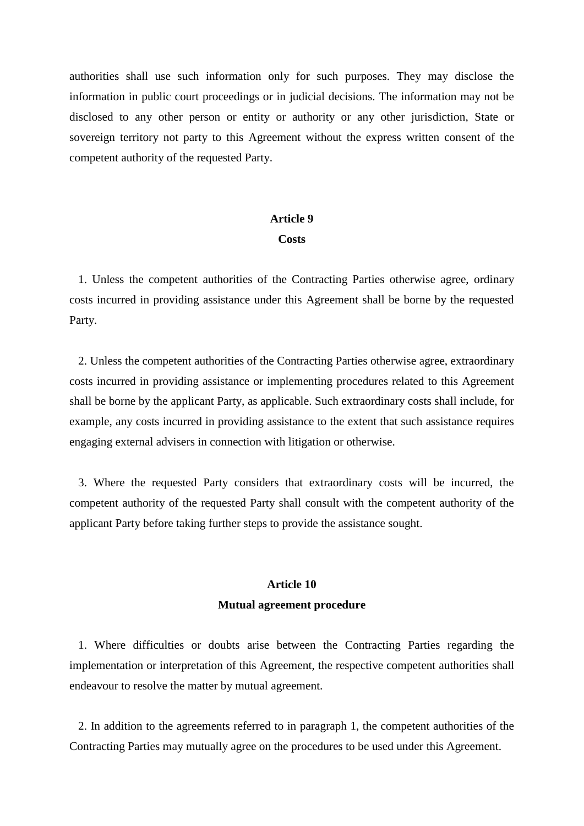authorities shall use such information only for such purposes. They may disclose the information in public court proceedings or in judicial decisions. The information may not be disclosed to any other person or entity or authority or any other jurisdiction, State or sovereign territory not party to this Agreement without the express written consent of the competent authority of the requested Party.

### **Article 9**

#### **Costs**

1. Unless the competent authorities of the Contracting Parties otherwise agree, ordinary costs incurred in providing assistance under this Agreement shall be borne by the requested Party.

2. Unless the competent authorities of the Contracting Parties otherwise agree, extraordinary costs incurred in providing assistance or implementing procedures related to this Agreement shall be borne by the applicant Party, as applicable. Such extraordinary costs shall include, for example, any costs incurred in providing assistance to the extent that such assistance requires engaging external advisers in connection with litigation or otherwise.

3. Where the requested Party considers that extraordinary costs will be incurred, the competent authority of the requested Party shall consult with the competent authority of the applicant Party before taking further steps to provide the assistance sought.

### **Article 10 Mutual agreement procedure**

1. Where difficulties or doubts arise between the Contracting Parties regarding the implementation or interpretation of this Agreement, the respective competent authorities shall endeavour to resolve the matter by mutual agreement.

2. In addition to the agreements referred to in paragraph 1, the competent authorities of the Contracting Parties may mutually agree on the procedures to be used under this Agreement.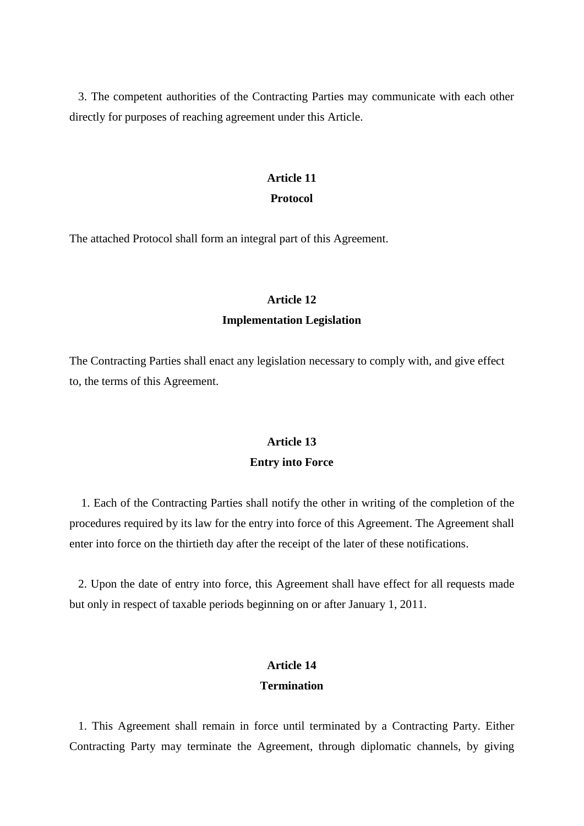3. The competent authorities of the Contracting Parties may communicate with each other directly for purposes of reaching agreement under this Article.

#### **Article 11**

#### **Protocol**

The attached Protocol shall form an integral part of this Agreement.

#### **Article 12**

### **Implementation Legislation**

The Contracting Parties shall enact any legislation necessary to comply with, and give effect to, the terms of this Agreement.

### **Article 13 Entry into Force**

1. Each of the Contracting Parties shall notify the other in writing of the completion of the procedures required by its law for the entry into force of this Agreement. The Agreement shall enter into force on the thirtieth day after the receipt of the later of these notifications.

2. Upon the date of entry into force, this Agreement shall have effect for all requests made but only in respect of taxable periods beginning on or after January 1, 2011.

### **Article 14 Termination**

1. This Agreement shall remain in force until terminated by a Contracting Party. Either Contracting Party may terminate the Agreement, through diplomatic channels, by giving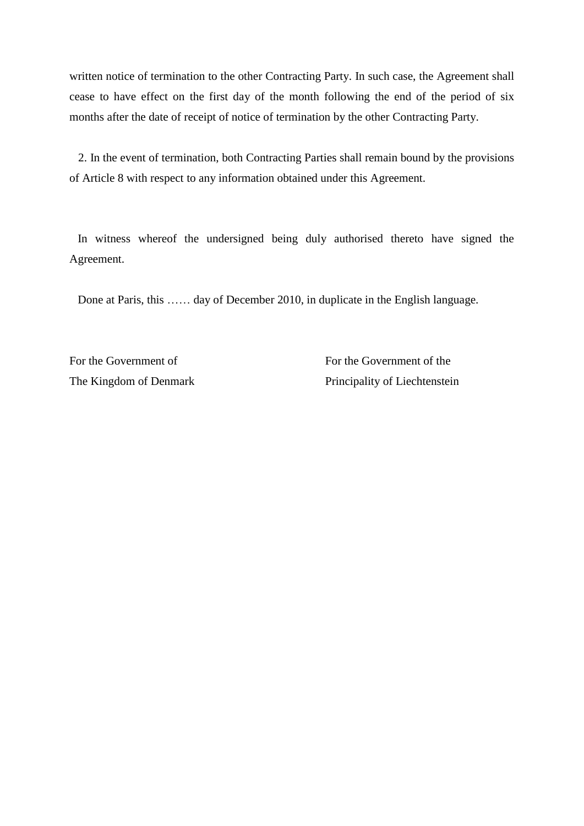written notice of termination to the other Contracting Party. In such case, the Agreement shall cease to have effect on the first day of the month following the end of the period of six months after the date of receipt of notice of termination by the other Contracting Party.

2. In the event of termination, both Contracting Parties shall remain bound by the provisions of Article 8 with respect to any information obtained under this Agreement.

In witness whereof the undersigned being duly authorised thereto have signed the Agreement.

Done at Paris, this …… day of December 2010, in duplicate in the English language.

For the Government of Formula Covernment of the Government of the Formula Covernment of the Formula Covernment of the Sovernment of the Sovernment of the Sovernment of the Sovernment of the Sovernment of the Sovernment of

The Kingdom of Denmark Principality of Liechtenstein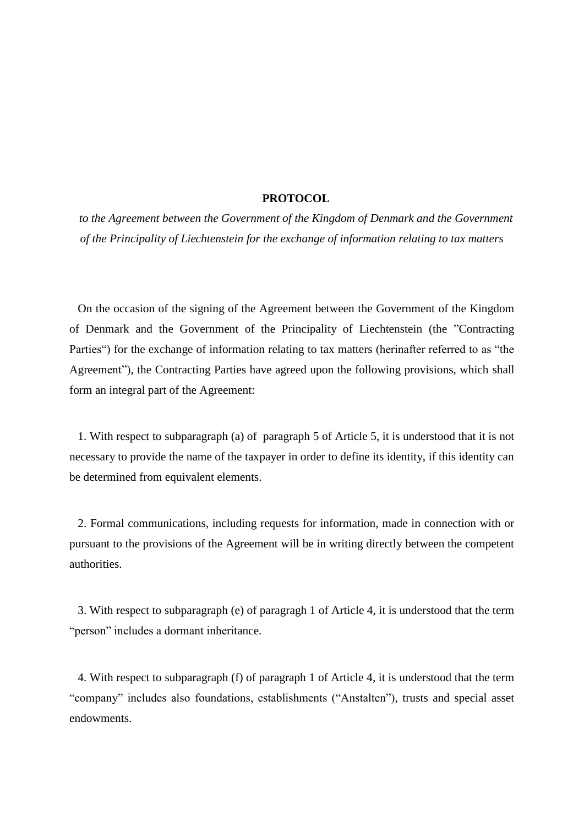### **PROTOCOL**

*to the Agreement between the Government of the Kingdom of Denmark and the Government of the Principality of Liechtenstein for the exchange of information relating to tax matters*

On the occasion of the signing of the Agreement between the Government of the Kingdom of Denmark and the Government of the Principality of Liechtenstein (the "Contracting Parties") for the exchange of information relating to tax matters (herinafter referred to as "the Agreement"), the Contracting Parties have agreed upon the following provisions, which shall form an integral part of the Agreement:

1. With respect to subparagraph (a) of paragraph 5 of Article 5, it is understood that it is not necessary to provide the name of the taxpayer in order to define its identity, if this identity can be determined from equivalent elements.

2. Formal communications, including requests for information, made in connection with or pursuant to the provisions of the Agreement will be in writing directly between the competent authorities.

3. With respect to subparagraph (e) of paragragh 1 of Article 4, it is understood that the term "person" includes a dormant inheritance.

4. With respect to subparagraph (f) of paragraph 1 of Article 4, it is understood that the term "company" includes also foundations, establishments ("Anstalten"), trusts and special asset endowments.